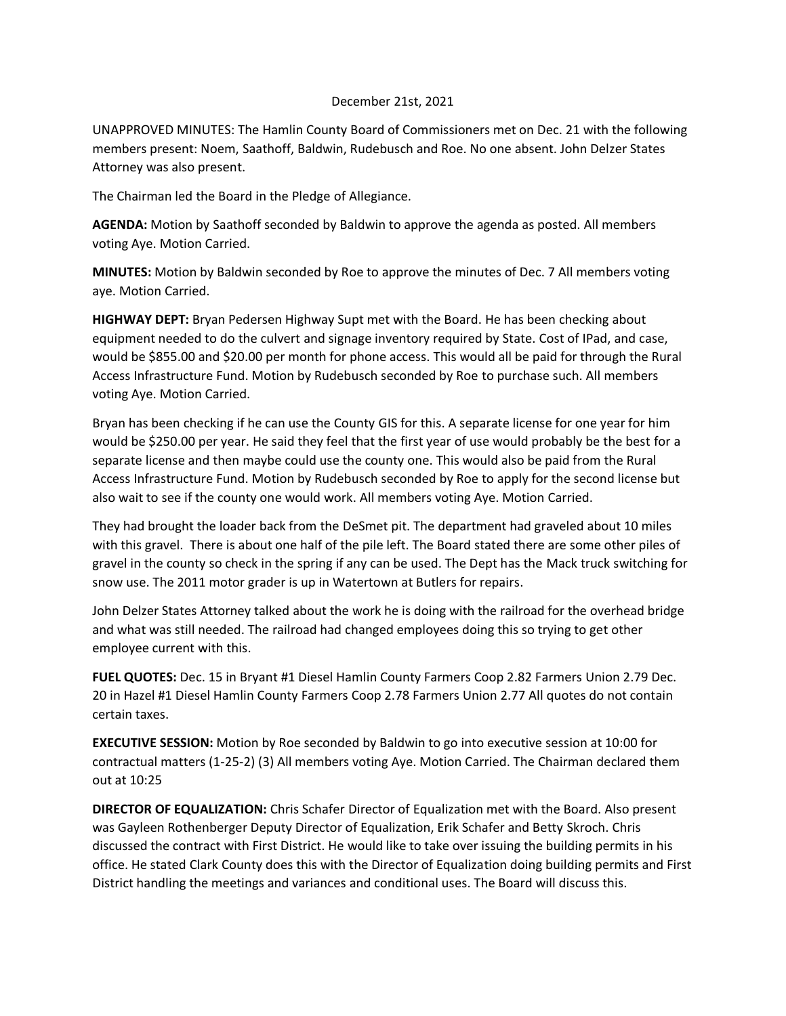## December 21st, 2021

UNAPPROVED MINUTES: The Hamlin County Board of Commissioners met on Dec. 21 with the following members present: Noem, Saathoff, Baldwin, Rudebusch and Roe. No one absent. John Delzer States Attorney was also present.

The Chairman led the Board in the Pledge of Allegiance.

**AGENDA:** Motion by Saathoff seconded by Baldwin to approve the agenda as posted. All members voting Aye. Motion Carried.

**MINUTES:** Motion by Baldwin seconded by Roe to approve the minutes of Dec. 7 All members voting aye. Motion Carried.

**HIGHWAY DEPT:** Bryan Pedersen Highway Supt met with the Board. He has been checking about equipment needed to do the culvert and signage inventory required by State. Cost of IPad, and case, would be \$855.00 and \$20.00 per month for phone access. This would all be paid for through the Rural Access Infrastructure Fund. Motion by Rudebusch seconded by Roe to purchase such. All members voting Aye. Motion Carried.

Bryan has been checking if he can use the County GIS for this. A separate license for one year for him would be \$250.00 per year. He said they feel that the first year of use would probably be the best for a separate license and then maybe could use the county one. This would also be paid from the Rural Access Infrastructure Fund. Motion by Rudebusch seconded by Roe to apply for the second license but also wait to see if the county one would work. All members voting Aye. Motion Carried.

They had brought the loader back from the DeSmet pit. The department had graveled about 10 miles with this gravel. There is about one half of the pile left. The Board stated there are some other piles of gravel in the county so check in the spring if any can be used. The Dept has the Mack truck switching for snow use. The 2011 motor grader is up in Watertown at Butlers for repairs.

John Delzer States Attorney talked about the work he is doing with the railroad for the overhead bridge and what was still needed. The railroad had changed employees doing this so trying to get other employee current with this.

**FUEL QUOTES:** Dec. 15 in Bryant #1 Diesel Hamlin County Farmers Coop 2.82 Farmers Union 2.79 Dec. 20 in Hazel #1 Diesel Hamlin County Farmers Coop 2.78 Farmers Union 2.77 All quotes do not contain certain taxes.

**EXECUTIVE SESSION:** Motion by Roe seconded by Baldwin to go into executive session at 10:00 for contractual matters (1-25-2) (3) All members voting Aye. Motion Carried. The Chairman declared them out at 10:25

**DIRECTOR OF EQUALIZATION:** Chris Schafer Director of Equalization met with the Board. Also present was Gayleen Rothenberger Deputy Director of Equalization, Erik Schafer and Betty Skroch. Chris discussed the contract with First District. He would like to take over issuing the building permits in his office. He stated Clark County does this with the Director of Equalization doing building permits and First District handling the meetings and variances and conditional uses. The Board will discuss this.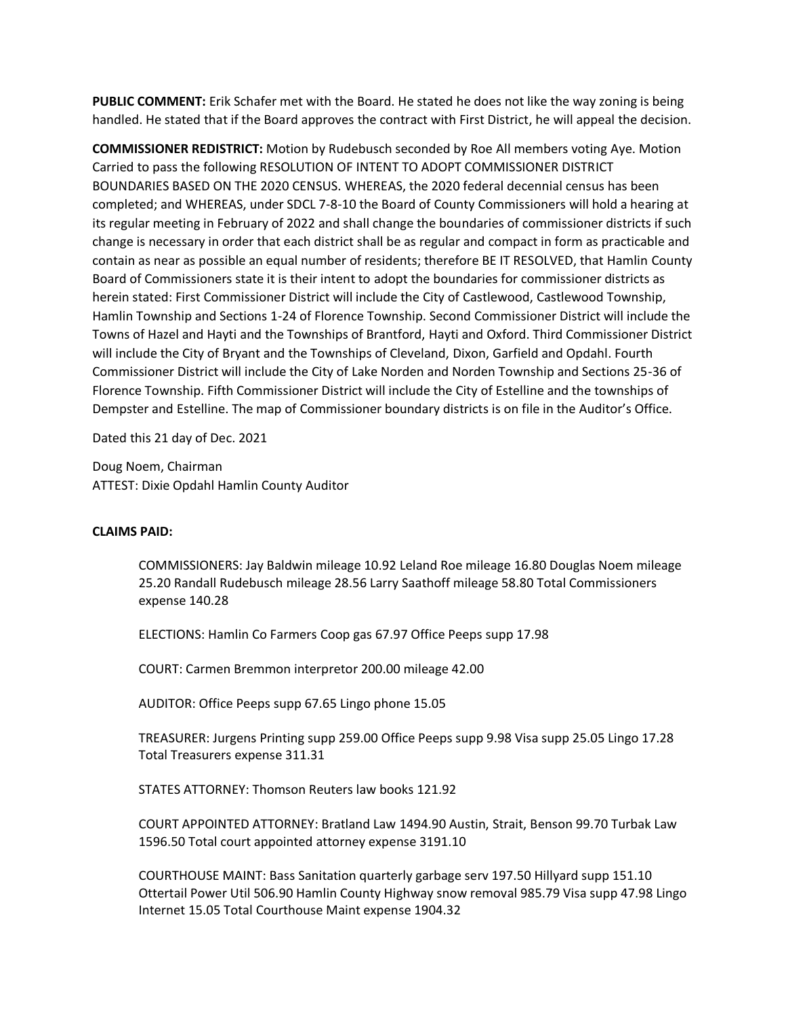**PUBLIC COMMENT:** Erik Schafer met with the Board. He stated he does not like the way zoning is being handled. He stated that if the Board approves the contract with First District, he will appeal the decision.

**COMMISSIONER REDISTRICT:** Motion by Rudebusch seconded by Roe All members voting Aye. Motion Carried to pass the following RESOLUTION OF INTENT TO ADOPT COMMISSIONER DISTRICT BOUNDARIES BASED ON THE 2020 CENSUS. WHEREAS, the 2020 federal decennial census has been completed; and WHEREAS, under SDCL 7-8-10 the Board of County Commissioners will hold a hearing at its regular meeting in February of 2022 and shall change the boundaries of commissioner districts if such change is necessary in order that each district shall be as regular and compact in form as practicable and contain as near as possible an equal number of residents; therefore BE IT RESOLVED, that Hamlin County Board of Commissioners state it is their intent to adopt the boundaries for commissioner districts as herein stated: First Commissioner District will include the City of Castlewood, Castlewood Township, Hamlin Township and Sections 1-24 of Florence Township. Second Commissioner District will include the Towns of Hazel and Hayti and the Townships of Brantford, Hayti and Oxford. Third Commissioner District will include the City of Bryant and the Townships of Cleveland, Dixon, Garfield and Opdahl. Fourth Commissioner District will include the City of Lake Norden and Norden Township and Sections 25-36 of Florence Township. Fifth Commissioner District will include the City of Estelline and the townships of Dempster and Estelline. The map of Commissioner boundary districts is on file in the Auditor's Office.

Dated this 21 day of Dec. 2021

Doug Noem, Chairman ATTEST: Dixie Opdahl Hamlin County Auditor

## **CLAIMS PAID:**

COMMISSIONERS: Jay Baldwin mileage 10.92 Leland Roe mileage 16.80 Douglas Noem mileage 25.20 Randall Rudebusch mileage 28.56 Larry Saathoff mileage 58.80 Total Commissioners expense 140.28

ELECTIONS: Hamlin Co Farmers Coop gas 67.97 Office Peeps supp 17.98

COURT: Carmen Bremmon interpretor 200.00 mileage 42.00

AUDITOR: Office Peeps supp 67.65 Lingo phone 15.05

TREASURER: Jurgens Printing supp 259.00 Office Peeps supp 9.98 Visa supp 25.05 Lingo 17.28 Total Treasurers expense 311.31

STATES ATTORNEY: Thomson Reuters law books 121.92

COURT APPOINTED ATTORNEY: Bratland Law 1494.90 Austin, Strait, Benson 99.70 Turbak Law 1596.50 Total court appointed attorney expense 3191.10

COURTHOUSE MAINT: Bass Sanitation quarterly garbage serv 197.50 Hillyard supp 151.10 Ottertail Power Util 506.90 Hamlin County Highway snow removal 985.79 Visa supp 47.98 Lingo Internet 15.05 Total Courthouse Maint expense 1904.32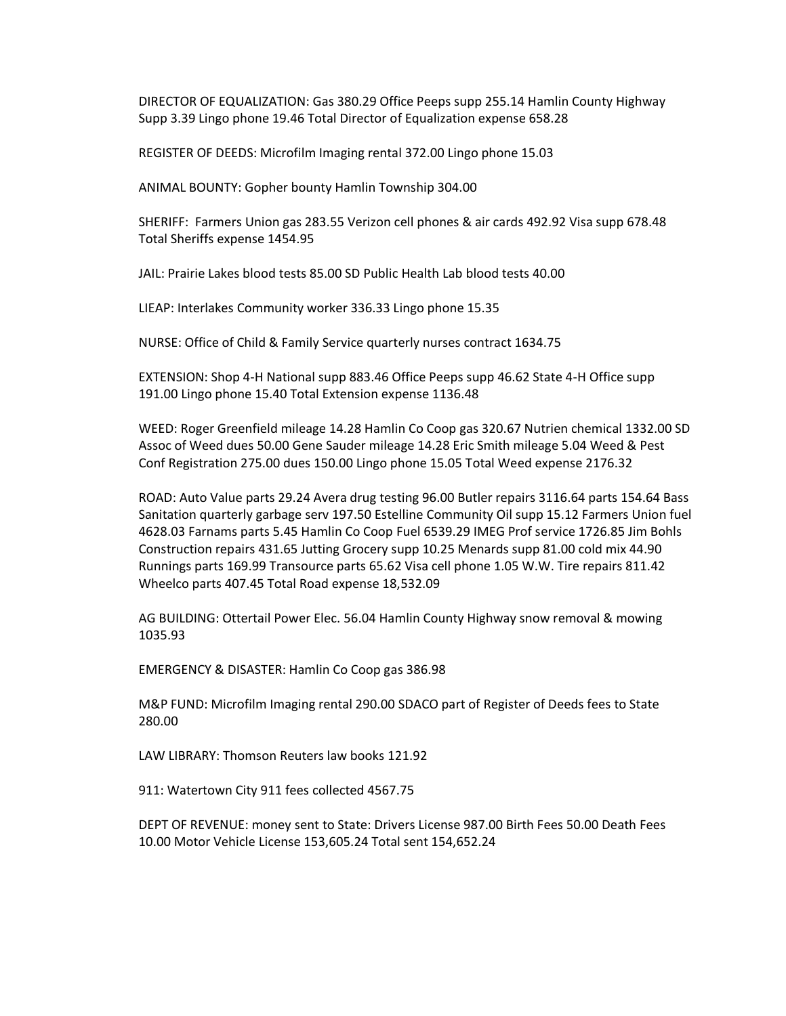DIRECTOR OF EQUALIZATION: Gas 380.29 Office Peeps supp 255.14 Hamlin County Highway Supp 3.39 Lingo phone 19.46 Total Director of Equalization expense 658.28

REGISTER OF DEEDS: Microfilm Imaging rental 372.00 Lingo phone 15.03

ANIMAL BOUNTY: Gopher bounty Hamlin Township 304.00

SHERIFF: Farmers Union gas 283.55 Verizon cell phones & air cards 492.92 Visa supp 678.48 Total Sheriffs expense 1454.95

JAIL: Prairie Lakes blood tests 85.00 SD Public Health Lab blood tests 40.00

LIEAP: Interlakes Community worker 336.33 Lingo phone 15.35

NURSE: Office of Child & Family Service quarterly nurses contract 1634.75

EXTENSION: Shop 4-H National supp 883.46 Office Peeps supp 46.62 State 4-H Office supp 191.00 Lingo phone 15.40 Total Extension expense 1136.48

WEED: Roger Greenfield mileage 14.28 Hamlin Co Coop gas 320.67 Nutrien chemical 1332.00 SD Assoc of Weed dues 50.00 Gene Sauder mileage 14.28 Eric Smith mileage 5.04 Weed & Pest Conf Registration 275.00 dues 150.00 Lingo phone 15.05 Total Weed expense 2176.32

ROAD: Auto Value parts 29.24 Avera drug testing 96.00 Butler repairs 3116.64 parts 154.64 Bass Sanitation quarterly garbage serv 197.50 Estelline Community Oil supp 15.12 Farmers Union fuel 4628.03 Farnams parts 5.45 Hamlin Co Coop Fuel 6539.29 IMEG Prof service 1726.85 Jim Bohls Construction repairs 431.65 Jutting Grocery supp 10.25 Menards supp 81.00 cold mix 44.90 Runnings parts 169.99 Transource parts 65.62 Visa cell phone 1.05 W.W. Tire repairs 811.42 Wheelco parts 407.45 Total Road expense 18,532.09

AG BUILDING: Ottertail Power Elec. 56.04 Hamlin County Highway snow removal & mowing 1035.93

EMERGENCY & DISASTER: Hamlin Co Coop gas 386.98

M&P FUND: Microfilm Imaging rental 290.00 SDACO part of Register of Deeds fees to State 280.00

LAW LIBRARY: Thomson Reuters law books 121.92

911: Watertown City 911 fees collected 4567.75

DEPT OF REVENUE: money sent to State: Drivers License 987.00 Birth Fees 50.00 Death Fees 10.00 Motor Vehicle License 153,605.24 Total sent 154,652.24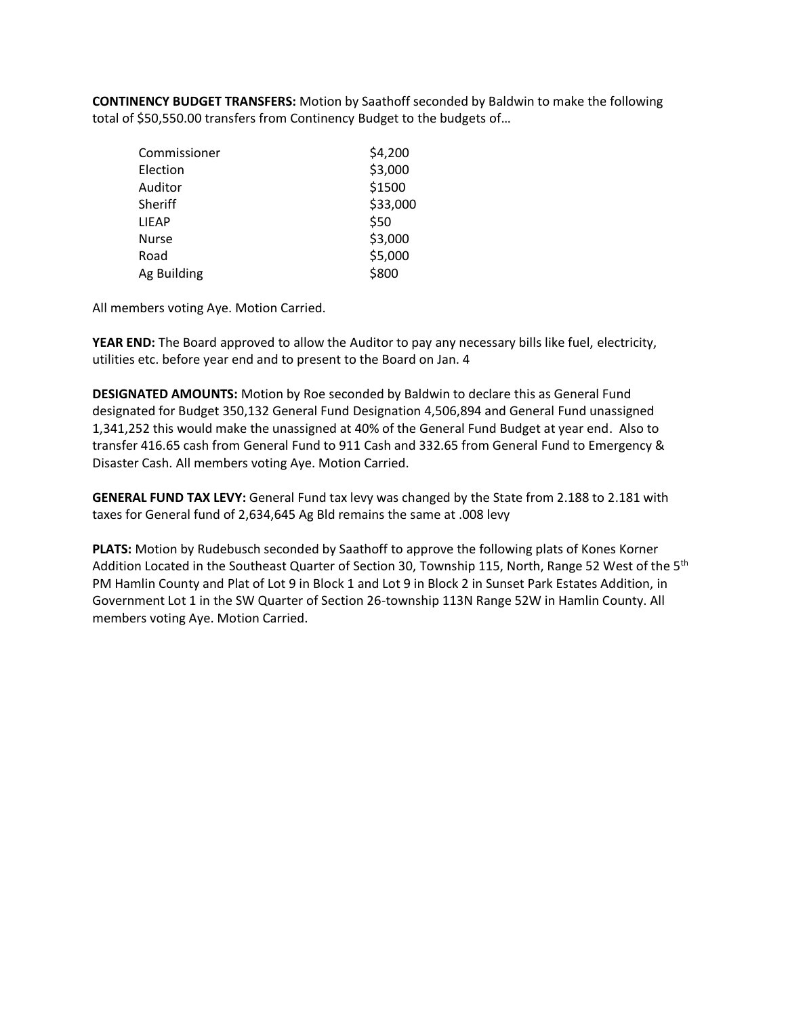**CONTINENCY BUDGET TRANSFERS:** Motion by Saathoff seconded by Baldwin to make the following total of \$50,550.00 transfers from Continency Budget to the budgets of…

| Commissioner | \$4,200<br>\$3,000 |
|--------------|--------------------|
| Election     |                    |
| Auditor      | \$1500             |
| Sheriff      | \$33,000           |
| LIEAP        | \$50               |
| <b>Nurse</b> | \$3,000            |
| Road         | \$5,000            |
| Ag Building  | \$800              |

All members voting Aye. Motion Carried.

**YEAR END:** The Board approved to allow the Auditor to pay any necessary bills like fuel, electricity, utilities etc. before year end and to present to the Board on Jan. 4

**DESIGNATED AMOUNTS:** Motion by Roe seconded by Baldwin to declare this as General Fund designated for Budget 350,132 General Fund Designation 4,506,894 and General Fund unassigned 1,341,252 this would make the unassigned at 40% of the General Fund Budget at year end. Also to transfer 416.65 cash from General Fund to 911 Cash and 332.65 from General Fund to Emergency & Disaster Cash. All members voting Aye. Motion Carried.

**GENERAL FUND TAX LEVY:** General Fund tax levy was changed by the State from 2.188 to 2.181 with taxes for General fund of 2,634,645 Ag Bld remains the same at .008 levy

**PLATS:** Motion by Rudebusch seconded by Saathoff to approve the following plats of Kones Korner Addition Located in the Southeast Quarter of Section 30, Township 115, North, Range 52 West of the 5<sup>th</sup> PM Hamlin County and Plat of Lot 9 in Block 1 and Lot 9 in Block 2 in Sunset Park Estates Addition, in Government Lot 1 in the SW Quarter of Section 26-township 113N Range 52W in Hamlin County. All members voting Aye. Motion Carried.